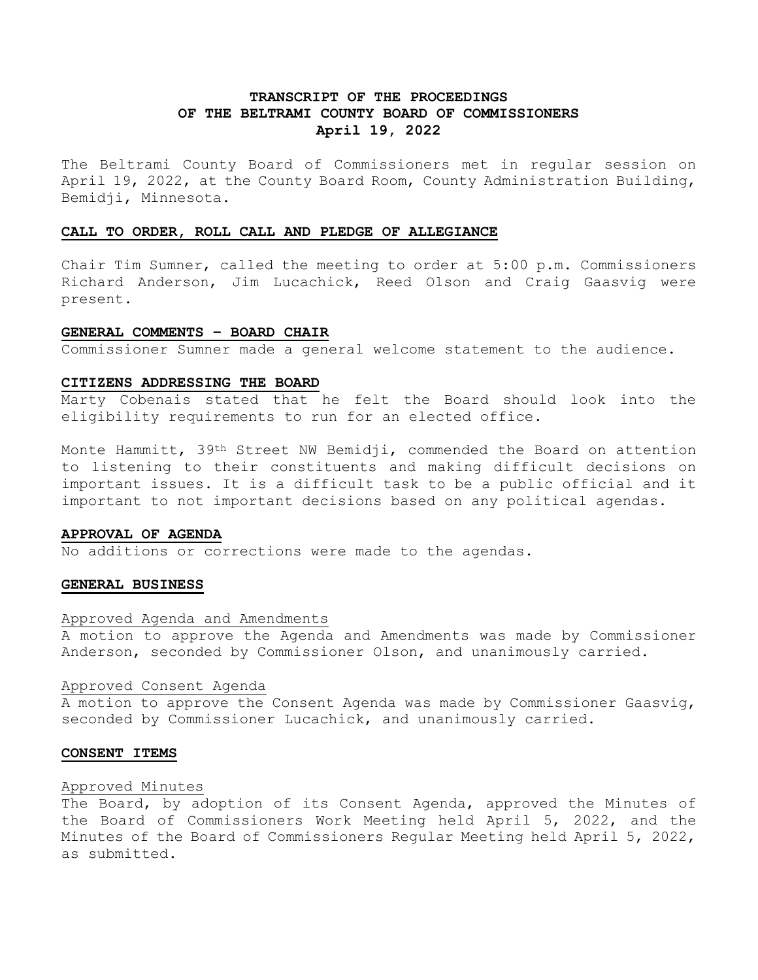# **TRANSCRIPT OF THE PROCEEDINGS OF THE BELTRAMI COUNTY BOARD OF COMMISSIONERS April 19, 2022**

The Beltrami County Board of Commissioners met in regular session on April 19, 2022, at the County Board Room, County Administration Building, Bemidji, Minnesota.

# **CALL TO ORDER, ROLL CALL AND PLEDGE OF ALLEGIANCE**

Chair Tim Sumner, called the meeting to order at 5:00 p.m. Commissioners Richard Anderson, Jim Lucachick, Reed Olson and Craig Gaasvig were present.

### **GENERAL COMMENTS – BOARD CHAIR**

Commissioner Sumner made a general welcome statement to the audience.

#### **CITIZENS ADDRESSING THE BOARD**

Marty Cobenais stated that he felt the Board should look into the eligibility requirements to run for an elected office.

Monte Hammitt, 39th Street NW Bemidji, commended the Board on attention to listening to their constituents and making difficult decisions on important issues. It is a difficult task to be a public official and it important to not important decisions based on any political agendas.

## **APPROVAL OF AGENDA**

No additions or corrections were made to the agendas.

#### **GENERAL BUSINESS**

#### Approved Agenda and Amendments

A motion to approve the Agenda and Amendments was made by Commissioner Anderson, seconded by Commissioner Olson, and unanimously carried.

#### Approved Consent Agenda

A motion to approve the Consent Agenda was made by Commissioner Gaasvig, seconded by Commissioner Lucachick, and unanimously carried.

#### **CONSENT ITEMS**

#### Approved Minutes

The Board, by adoption of its Consent Agenda, approved the Minutes of the Board of Commissioners Work Meeting held April 5, 2022, and the Minutes of the Board of Commissioners Regular Meeting held April 5, 2022, as submitted.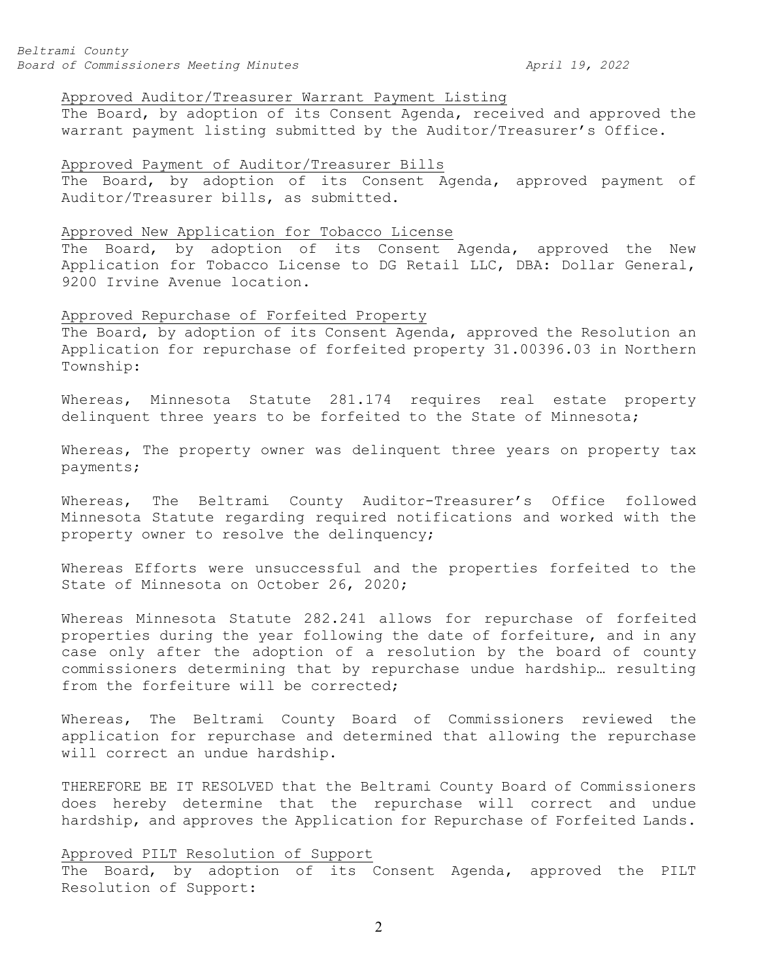### Approved Auditor/Treasurer Warrant Payment Listing

The Board, by adoption of its Consent Agenda, received and approved the warrant payment listing submitted by the Auditor/Treasurer's Office.

# Approved Payment of Auditor/Treasurer Bills

The Board, by adoption of its Consent Agenda, approved payment of Auditor/Treasurer bills, as submitted.

#### Approved New Application for Tobacco License

The Board, by adoption of its Consent Agenda, approved the New Application for Tobacco License to DG Retail LLC, DBA: Dollar General, 9200 Irvine Avenue location.

#### Approved Repurchase of Forfeited Property

The Board, by adoption of its Consent Agenda, approved the Resolution an Application for repurchase of forfeited property 31.00396.03 in Northern Township:

Whereas, Minnesota Statute 281.174 requires real estate property delinquent three years to be forfeited to the State of Minnesota;

Whereas, The property owner was delinquent three years on property tax payments;

Whereas, The Beltrami County Auditor-Treasurer's Office followed Minnesota Statute regarding required notifications and worked with the property owner to resolve the delinquency;

Whereas Efforts were unsuccessful and the properties forfeited to the State of Minnesota on October 26, 2020;

Whereas Minnesota Statute 282.241 allows for repurchase of forfeited properties during the year following the date of forfeiture, and in any case only after the adoption of a resolution by the board of county commissioners determining that by repurchase undue hardship… resulting from the forfeiture will be corrected;

Whereas, The Beltrami County Board of Commissioners reviewed the application for repurchase and determined that allowing the repurchase will correct an undue hardship.

THEREFORE BE IT RESOLVED that the Beltrami County Board of Commissioners does hereby determine that the repurchase will correct and undue hardship, and approves the Application for Repurchase of Forfeited Lands.

## Approved PILT Resolution of Support

The Board, by adoption of its Consent Agenda, approved the PILT Resolution of Support: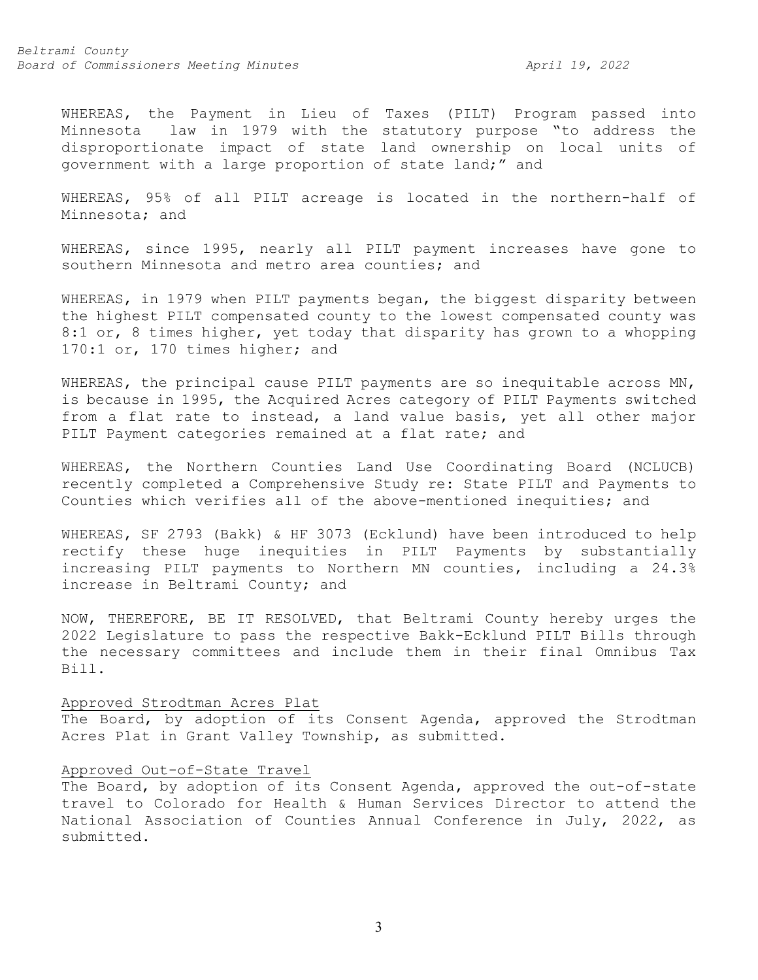WHEREAS, the Payment in Lieu of Taxes (PILT) Program passed into Minnesota law in 1979 with the statutory purpose "to address the disproportionate impact of state land ownership on local units of government with a large proportion of state land;" and

WHEREAS, 95% of all PILT acreage is located in the northern-half of Minnesota; and

WHEREAS, since 1995, nearly all PILT payment increases have gone to southern Minnesota and metro area counties; and

WHEREAS, in 1979 when PILT payments began, the biggest disparity between the highest PILT compensated county to the lowest compensated county was 8:1 or, 8 times higher, yet today that disparity has grown to a whopping 170:1 or, 170 times higher; and

WHEREAS, the principal cause PILT payments are so inequitable across MN, is because in 1995, the Acquired Acres category of PILT Payments switched from a flat rate to instead, a land value basis, yet all other major PILT Payment categories remained at a flat rate; and

WHEREAS, the Northern Counties Land Use Coordinating Board (NCLUCB) recently completed a Comprehensive Study re: State PILT and Payments to Counties which verifies all of the above-mentioned inequities; and

WHEREAS, SF 2793 (Bakk) & HF 3073 (Ecklund) have been introduced to help rectify these huge inequities in PILT Payments by substantially increasing PILT payments to Northern MN counties, including a 24.3% increase in Beltrami County; and

NOW, THEREFORE, BE IT RESOLVED, that Beltrami County hereby urges the 2022 Legislature to pass the respective Bakk-Ecklund PILT Bills through the necessary committees and include them in their final Omnibus Tax Bill.

#### Approved Strodtman Acres Plat

The Board, by adoption of its Consent Agenda, approved the Strodtman Acres Plat in Grant Valley Township, as submitted.

### Approved Out-of-State Travel

The Board, by adoption of its Consent Agenda, approved the out-of-state travel to Colorado for Health & Human Services Director to attend the National Association of Counties Annual Conference in July, 2022, as submitted.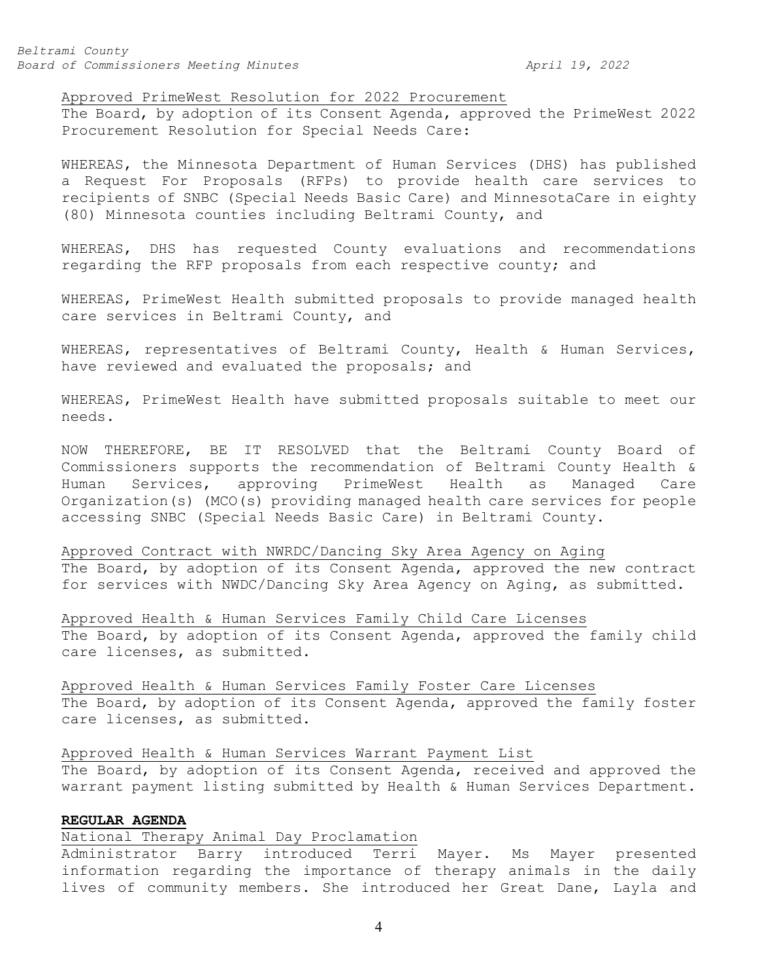## Approved PrimeWest Resolution for 2022 Procurement

The Board, by adoption of its Consent Agenda, approved the PrimeWest 2022 Procurement Resolution for Special Needs Care:

WHEREAS, the Minnesota Department of Human Services (DHS) has published a Request For Proposals (RFPs) to provide health care services to recipients of SNBC (Special Needs Basic Care) and MinnesotaCare in eighty (80) Minnesota counties including Beltrami County, and

WHEREAS, DHS has requested County evaluations and recommendations regarding the RFP proposals from each respective county; and

WHEREAS, PrimeWest Health submitted proposals to provide managed health care services in Beltrami County, and

WHEREAS, representatives of Beltrami County, Health & Human Services, have reviewed and evaluated the proposals; and

WHEREAS, PrimeWest Health have submitted proposals suitable to meet our needs.

NOW THEREFORE, BE IT RESOLVED that the Beltrami County Board of Commissioners supports the recommendation of Beltrami County Health &<br>Human Services, approving PrimeWest Health as Managed Care Human Services, approving PrimeWest Health Organization(s) (MCO(s) providing managed health care services for people accessing SNBC (Special Needs Basic Care) in Beltrami County.

Approved Contract with NWRDC/Dancing Sky Area Agency on Aging The Board, by adoption of its Consent Agenda, approved the new contract for services with NWDC/Dancing Sky Area Agency on Aging, as submitted.

Approved Health & Human Services Family Child Care Licenses The Board, by adoption of its Consent Agenda, approved the family child care licenses, as submitted.

Approved Health & Human Services Family Foster Care Licenses The Board, by adoption of its Consent Agenda, approved the family foster care licenses, as submitted.

#### Approved Health & Human Services Warrant Payment List

The Board, by adoption of its Consent Agenda, received and approved the warrant payment listing submitted by Health & Human Services Department.

# **REGULAR AGENDA**

# National Therapy Animal Day Proclamation

Administrator Barry introduced Terri Mayer. Ms Mayer presented information regarding the importance of therapy animals in the daily lives of community members. She introduced her Great Dane, Layla and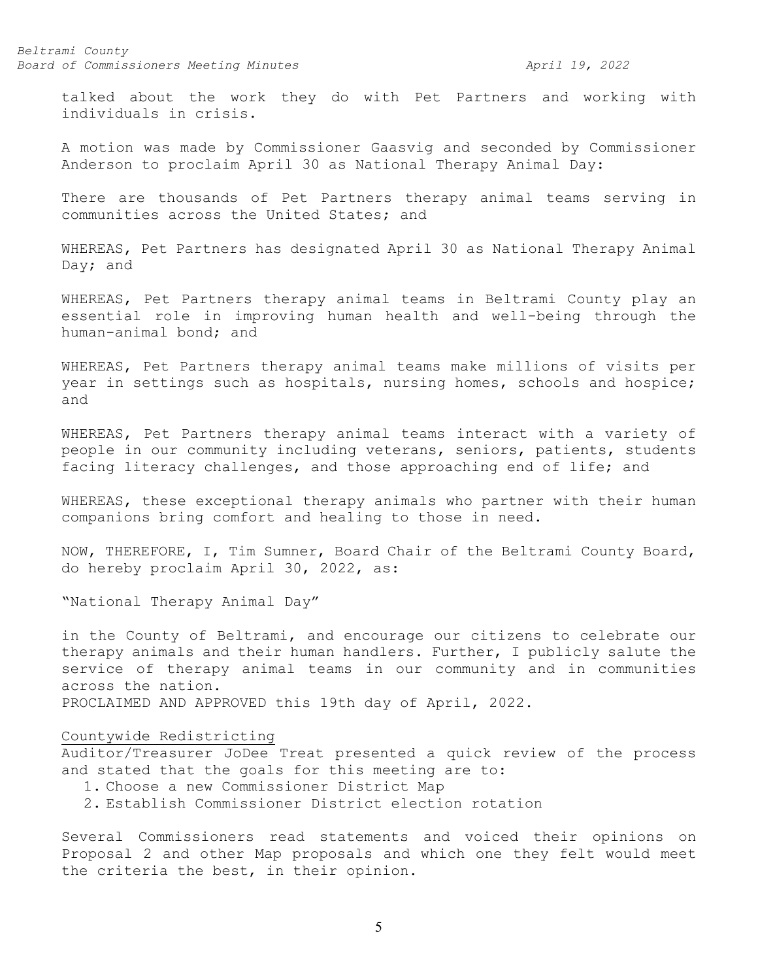talked about the work they do with Pet Partners and working with individuals in crisis.

A motion was made by Commissioner Gaasvig and seconded by Commissioner Anderson to proclaim April 30 as National Therapy Animal Day:

There are thousands of Pet Partners therapy animal teams serving in communities across the United States; and

WHEREAS, Pet Partners has designated April 30 as National Therapy Animal Day; and

WHEREAS, Pet Partners therapy animal teams in Beltrami County play an essential role in improving human health and well-being through the human-animal bond; and

WHEREAS, Pet Partners therapy animal teams make millions of visits per year in settings such as hospitals, nursing homes, schools and hospice; and

WHEREAS, Pet Partners therapy animal teams interact with a variety of people in our community including veterans, seniors, patients, students facing literacy challenges, and those approaching end of life; and

WHEREAS, these exceptional therapy animals who partner with their human companions bring comfort and healing to those in need.

NOW, THEREFORE, I, Tim Sumner, Board Chair of the Beltrami County Board, do hereby proclaim April 30, 2022, as:

"National Therapy Animal Day"

in the County of Beltrami, and encourage our citizens to celebrate our therapy animals and their human handlers. Further, I publicly salute the service of therapy animal teams in our community and in communities across the nation.

PROCLAIMED AND APPROVED this 19th day of April, 2022.

# Countywide Redistricting

Auditor/Treasurer JoDee Treat presented a quick review of the process and stated that the goals for this meeting are to:

- 1. Choose a new Commissioner District Map
- 2. Establish Commissioner District election rotation

Several Commissioners read statements and voiced their opinions on Proposal 2 and other Map proposals and which one they felt would meet the criteria the best, in their opinion.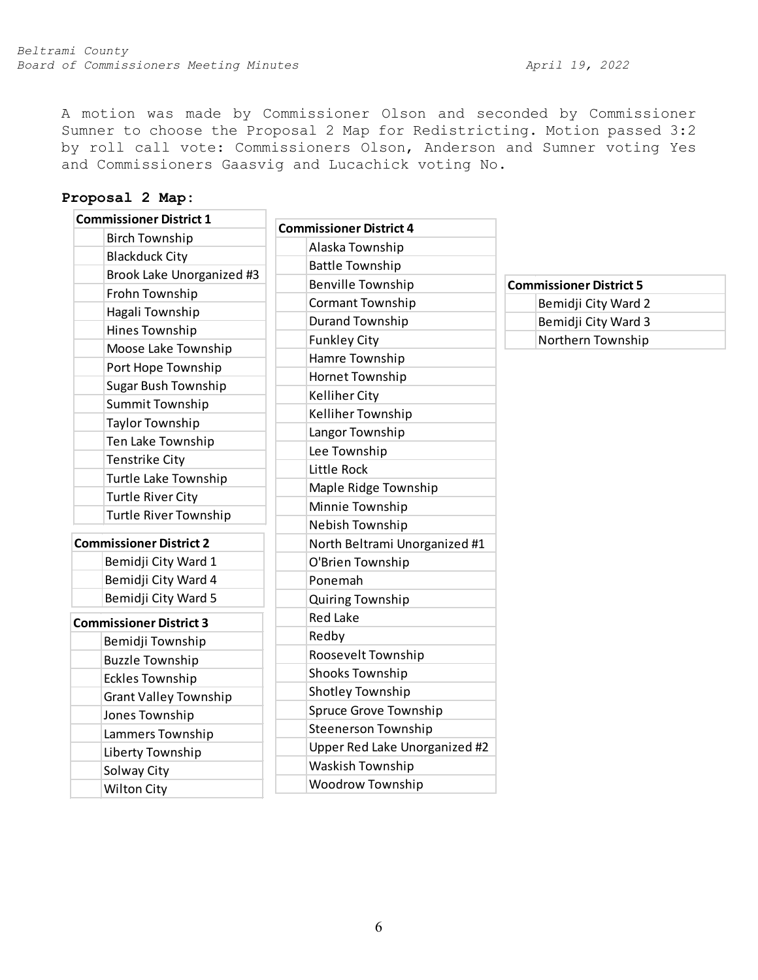A motion was made by Commissioner Olson and seconded by Commissioner Sumner to choose the Proposal 2 Map for Redistricting. Motion passed 3:2 by roll call vote: Commissioners Olson, Anderson and Sumner voting Yes and Commissioners Gaasvig and Lucachick voting No.

# **Proposal 2 Map:**

| <b>Commissioner District 1</b> | <b>Commissioner District 4</b> |                                |
|--------------------------------|--------------------------------|--------------------------------|
| <b>Birch Township</b>          | Alaska Township                |                                |
| <b>Blackduck City</b>          |                                |                                |
| Brook Lake Unorganized #3      | <b>Battle Township</b>         |                                |
| Frohn Township                 | <b>Benville Township</b>       | <b>Commissioner District 5</b> |
| Hagali Township                | Cormant Township               | Bemidji City Ward 2            |
| Hines Township                 | <b>Durand Township</b>         | Bemidji City Ward 3            |
| Moose Lake Township            | <b>Funkley City</b>            | Northern Township              |
| Port Hope Township             | Hamre Township                 |                                |
| <b>Sugar Bush Township</b>     | Hornet Township                |                                |
| <b>Summit Township</b>         | <b>Kelliher City</b>           |                                |
| <b>Taylor Township</b>         | Kelliher Township              |                                |
| Ten Lake Township              | Langor Township                |                                |
| Tenstrike City                 | Lee Township                   |                                |
| Turtle Lake Township           | Little Rock                    |                                |
| <b>Turtle River City</b>       | Maple Ridge Township           |                                |
| <b>Turtle River Township</b>   | Minnie Township                |                                |
|                                | Nebish Township                |                                |
| <b>Commissioner District 2</b> | North Beltrami Unorganized #1  |                                |
| Bemidji City Ward 1            | O'Brien Township               |                                |
| Bemidji City Ward 4            | Ponemah                        |                                |
| Bemidji City Ward 5            | Quiring Township               |                                |
| <b>Commissioner District 3</b> | <b>Red Lake</b>                |                                |
| Bemidji Township               | Redby                          |                                |
| <b>Buzzle Township</b>         | Roosevelt Township             |                                |
| <b>Eckles Township</b>         | <b>Shooks Township</b>         |                                |
| <b>Grant Valley Township</b>   | Shotley Township               |                                |
| Jones Township                 | Spruce Grove Township          |                                |
| Lammers Township               | <b>Steenerson Township</b>     |                                |
| Liberty Township               | Upper Red Lake Unorganized #2  |                                |
| Solway City                    | Waskish Township               |                                |
| <b>Wilton City</b>             | Woodrow Township               |                                |